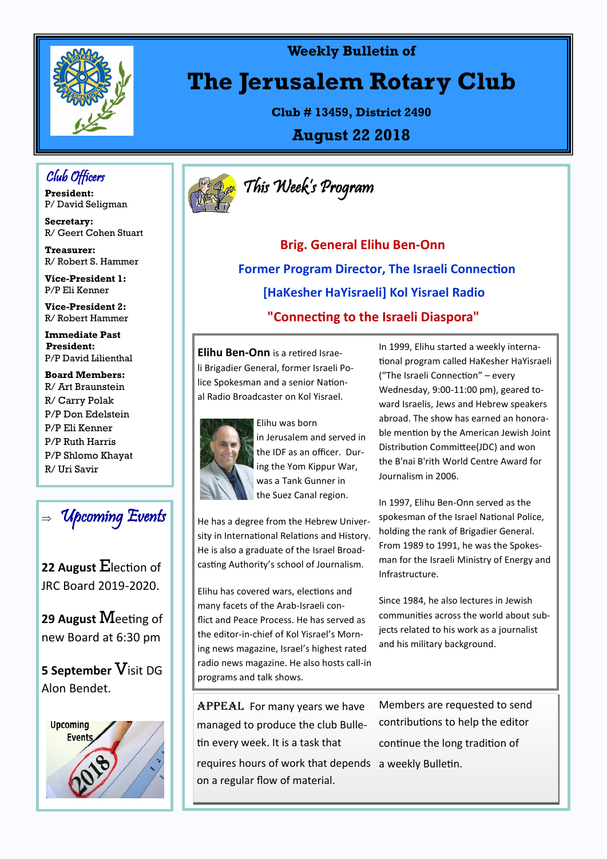

#### **Weekly Bulletin of**

# **The Jerusalem Rotary Club**

**Club # 13459, District 2490**

**August 22 2018**

## Club Officers

**President:**  P/ David Seligman

**Secretary:**  R/ Geert Cohen Stuart

**Treasurer:** R/ Robert S. Hammer

**Vice-President 1:**  P/P Eli Kenner

**Vice-President 2:**  R/ Robert Hammer

**Immediate Past President:**  P/P David Lilienthal

**Board Members:** R/ Art Braunstein R/ Carry Polak P/P Don Edelstein P/P Eli Kenner P/P Ruth Harris P/P Shlomo Khayat R/ Uri Savir



**22 August** Election of JRC Board 2019-2020.

**29 August** Meeting of new Board at 6:30 pm

**5 September** Visit DG Alon Bendet.





 **Brig. General Elihu Ben-Onn Former Program Director, The Israeli Connection [HaKesher HaYisraeli] Kol Yisrael Radio "Connecting to the Israeli Diaspora"**

**Elihu Ben-Onn** is a retired Israeli Brigadier General, former Israeli Police Spokesman and a senior National Radio Broadcaster on Kol Yisrael.



Elihu was born in Jerusalem and served in the IDF as an officer. During the Yom Kippur War, was a Tank Gunner in the Suez Canal region.

He has a degree from the Hebrew University in International Relations and History. He is also a graduate of the Israel Broadcasting Authority's school of Journalism.

Elihu has covered wars, elections and many facets of the Arab-Israeli conflict and Peace Process. He has served as the editor-in-chief of Kol Yisrael's Morning news magazine, Israel's highest rated radio news magazine. He also hosts call-in programs and talk shows.

In 1999, Elihu started a weekly international program called HaKesher HaYisraeli ("The Israeli Connection" – every Wednesday, 9:00-11:00 pm), geared toward Israelis, Jews and Hebrew speakers abroad. The show has earned an honorable mention by the American Jewish Joint Distribution Committee(JDC) and won the B'nai B'rith World Centre Award for Journalism in 2006.

In 1997, Elihu Ben-Onn served as the spokesman of the Israel National Police, holding the rank of Brigadier General. From 1989 to 1991, he was the Spokesman for the Israeli Ministry of Energy and Infrastructure.

Since 1984, he also lectures in Jewish communities across the world about subjects related to his work as a journalist and his military background.

APPEAL For many years we have managed to produce the club Bulletin every week. It is a task that requires hours of work that depends a weekly Bulletin.on a regular flow of material.

Members are requested to send contributions to help the editor continue the long tradition of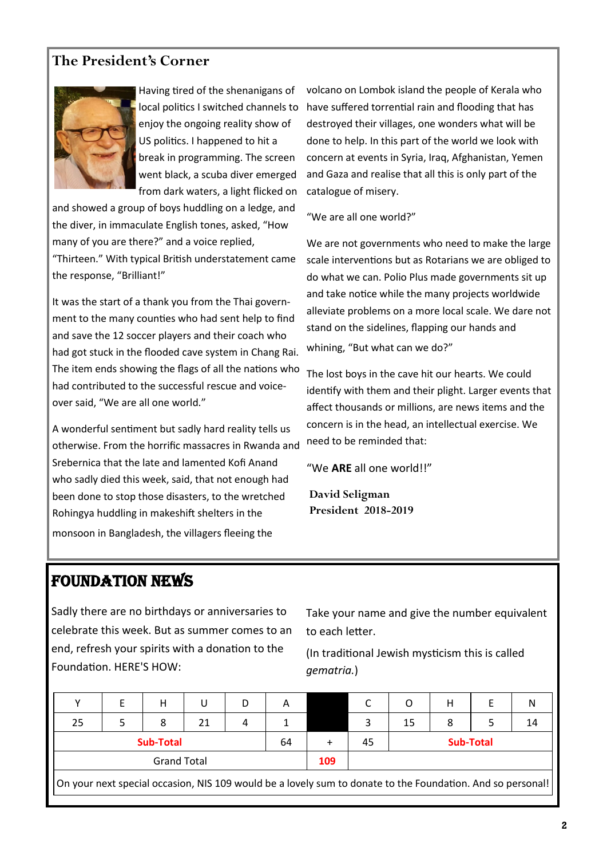### **The President's Corner**



Having tired of the shenanigans of local politics I switched channels to enjoy the ongoing reality show of US politics. I happened to hit a break in programming. The screen went black, a scuba diver emerged from dark waters, a light flicked on

and showed a group of boys huddling on a ledge, and the diver, in immaculate English tones, asked, "How many of you are there?" and a voice replied, "Thirteen." With typical British understatement came the response, "Brilliant!"

It was the start of a thank you from the Thai government to the many counties who had sent help to find and save the 12 soccer players and their coach who had got stuck in the flooded cave system in Chang Rai. The item ends showing the flags of all the nations who had contributed to the successful rescue and voiceover said, "We are all one world."

A wonderful sentiment but sadly hard reality tells us otherwise. From the horrific massacres in Rwanda and Srebernica that the late and lamented Kofi Anand who sadly died this week, said, that not enough had been done to stop those disasters, to the wretched Rohingya huddling in makeshift shelters in the monsoon in Bangladesh, the villagers fleeing the

volcano on Lombok island the people of Kerala who have suffered torrential rain and flooding that has destroyed their villages, one wonders what will be done to help. In this part of the world we look with concern at events in Syria, Iraq, Afghanistan, Yemen and Gaza and realise that all this is only part of the catalogue of misery.

"We are all one world?"

We are not governments who need to make the large scale interventions but as Rotarians we are obliged to do what we can. Polio Plus made governments sit up and take notice while the many projects worldwide alleviate problems on a more local scale. We dare not stand on the sidelines, flapping our hands and whining, "But what can we do?"

The lost boys in the cave hit our hearts. We could identify with them and their plight. Larger events that affect thousands or millions, are news items and the concern is in the head, an intellectual exercise. We need to be reminded that:

"We **ARE** all one world!!"

 **David Seligman President 2018-2019**

### FOUNDATION NEWS

Sadly there are no birthdays or anniversaries to celebrate this week. But as summer comes to an end, refresh your spirits with a donation to the Foundation. HERE'S HOW:

Take your name and give the number equivalent to each letter.

(In traditional Jewish mysticism this is called *gematria.*)

|                                                                                                            |  | н |    | D |  |     |    |                  | Н |  | N  |
|------------------------------------------------------------------------------------------------------------|--|---|----|---|--|-----|----|------------------|---|--|----|
| 25                                                                                                         |  | 8 | 21 | 4 |  |     |    | 15               | 8 |  | 14 |
| <b>Sub-Total</b><br>64                                                                                     |  |   |    |   |  |     | 45 | <b>Sub-Total</b> |   |  |    |
| <b>Grand Total</b>                                                                                         |  |   |    |   |  | 109 |    |                  |   |  |    |
| On your next special occasion, NIS 109 would be a lovely sum to donate to the Foundation. And so personal! |  |   |    |   |  |     |    |                  |   |  |    |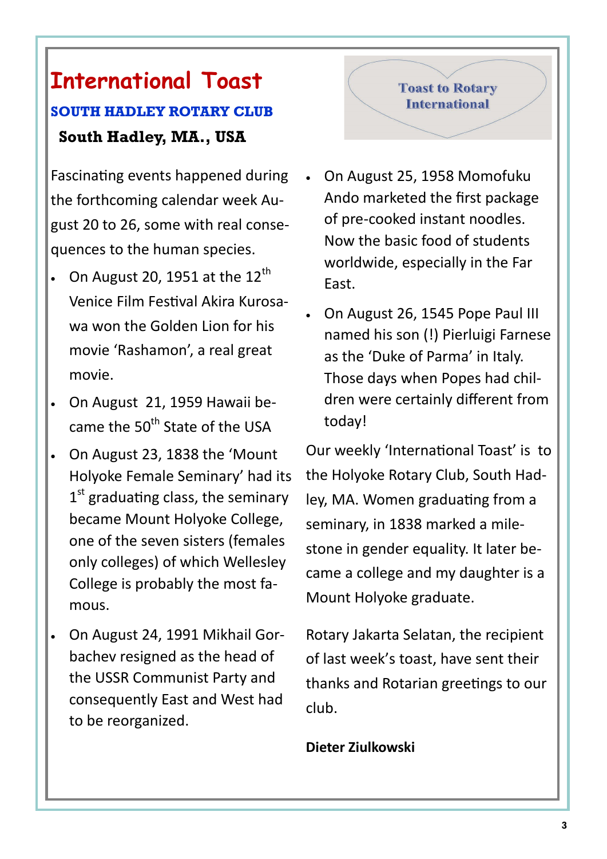# **International Toast SOUTH HADLEY ROTARY CLUB**

# **South Hadley, MA., USA**

Fascinating events happened during the forthcoming calendar week August 20 to 26, some with real consequences to the human species.

- On August 20, 1951 at the  $12<sup>th</sup>$ Venice Film Festival Akira Kurosawa won the Golden Lion for his movie 'Rashamon', a real great movie.
- On August 21, 1959 Hawaii became the 50<sup>th</sup> State of the USA
- On August 23, 1838 the 'Mount Holyoke Female Seminary' had its 1<sup>st</sup> graduating class, the seminary became Mount Holyoke College, one of the seven sisters (females only colleges) of which Wellesley College is probably the most famous.
- On August 24, 1991 Mikhail Gorbachev resigned as the head of the USSR Communist Party and consequently East and West had to be reorganized.

## **Toast to Rotary International**

- On August 25, 1958 Momofuku Ando marketed the first package of pre-cooked instant noodles. Now the basic food of students worldwide, especially in the Far East.
- On August 26, 1545 Pope Paul III named his son (!) Pierluigi Farnese as the 'Duke of Parma' in Italy. Those days when Popes had children were certainly different from today!

Our weekly 'International Toast' is to the Holyoke Rotary Club, South Hadley, MA. Women graduating from a seminary, in 1838 marked a milestone in gender equality. It later became a college and my daughter is a Mount Holyoke graduate.

Rotary Jakarta Selatan, the recipient of last week's toast, have sent their thanks and Rotarian greetings to our club.

### **Dieter Ziulkowski**